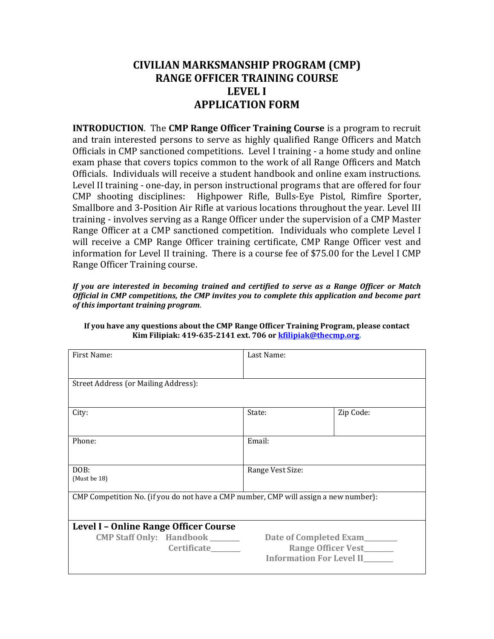## **CIVILIAN MARKSMANSHIP PROGRAM (CMP) RANGE OFFICER TRAINING COURSE LEVEL I APPLICATION FORM**

**INTRODUCTION**. The **CMP Range Officer Training Course** is a program to recruit and train interested persons to serve as highly qualified Range Officers and Match Officials in CMP sanctioned competitions. Level I training - a home study and online exam phase that covers topics common to the work of all Range Officers and Match Officials. Individuals will receive a student handbook and online exam instructions. Level II training - one-day, in person instructional programs that are offered for four CMP shooting disciplines: Highpower Rifle, Bulls-Eye Pistol, Rimfire Sporter, Smallbore and 3-Position Air Rifle at various locations throughout the year. Level III training - involves serving as a Range Officer under the supervision of a CMP Master Range Officer at a CMP sanctioned competition. Individuals who complete Level I will receive a CMP Range Officer training certificate, CMP Range Officer vest and information for Level II training. There is a course fee of \$75.00 for the Level I CMP Range Officer Training course.

*If you are interested in becoming trained and certified to serve as a Range Officer or Match Official in CMP competitions, the CMP invites you to complete this application and become part of this important training program*.

| First Name:                                                                          | Last Name:               |           |  |
|--------------------------------------------------------------------------------------|--------------------------|-----------|--|
| Street Address (or Mailing Address):                                                 |                          |           |  |
|                                                                                      |                          |           |  |
| City:                                                                                | State:                   | Zip Code: |  |
|                                                                                      |                          |           |  |
| Phone:                                                                               | Email:                   |           |  |
|                                                                                      |                          |           |  |
| DOB:<br>(Must be 18)                                                                 | Range Vest Size:         |           |  |
|                                                                                      |                          |           |  |
| CMP Competition No. (if you do not have a CMP number, CMP will assign a new number): |                          |           |  |
|                                                                                      |                          |           |  |
| Level I - Online Range Officer Course                                                |                          |           |  |
| <b>CMP Staff Only: Handbook</b> ______                                               | Date of Completed Exam   |           |  |
| <b>Certificate</b>                                                                   | Range Officer Vest______ |           |  |
| <b>Information For Level II______</b>                                                |                          |           |  |

## **If you have any questions about the CMP Range Officer Training Program, please contact Kim Filipiak: 419-635-2141 ext. 706 or [kfilipiak@thecmp.org.](mailto:kfilipiak@thecmp.org)**